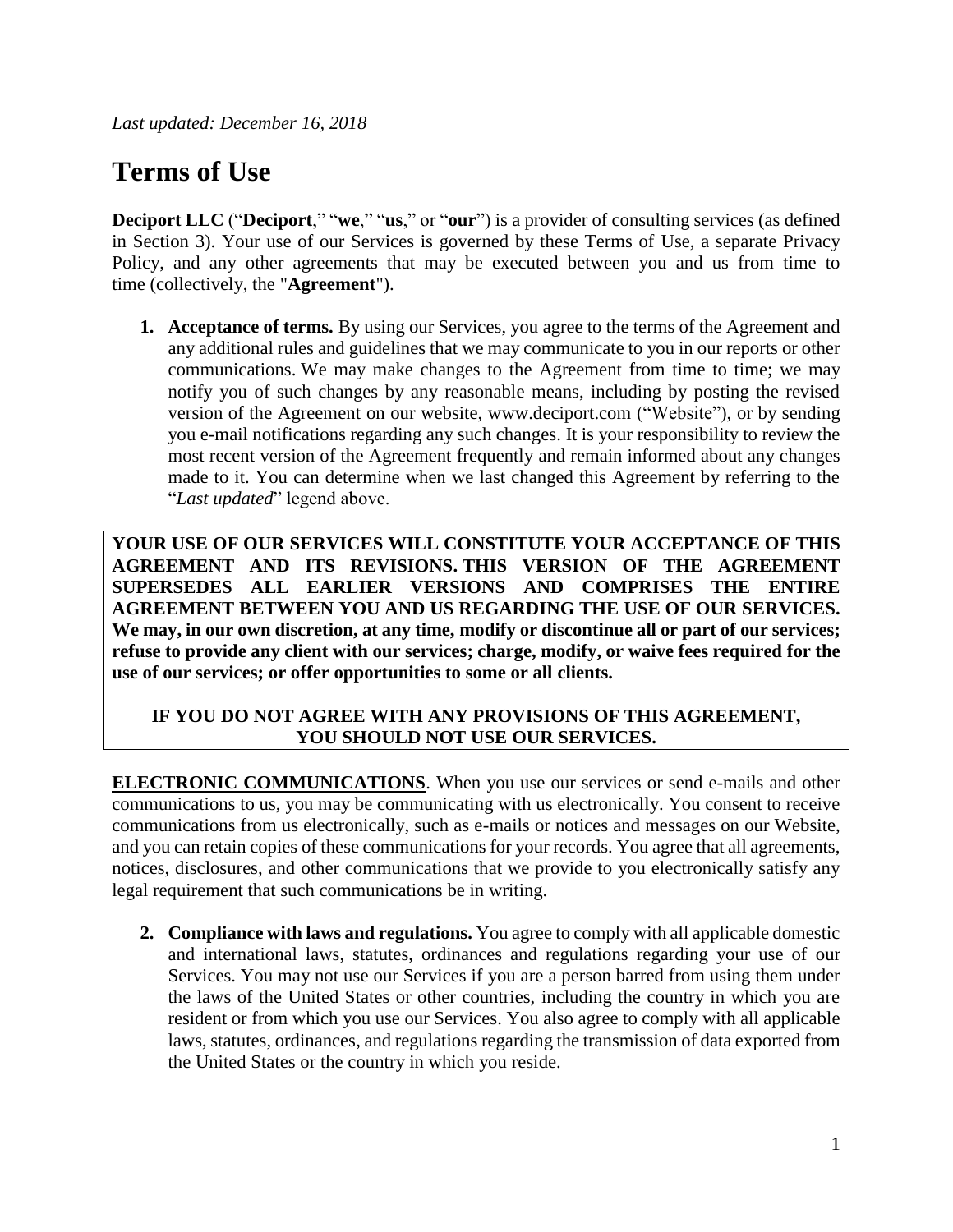*Last updated: December 16, 2018*

# **Terms of Use**

**Deciport LLC** ("**Deciport**," "**we**," "**us**," or "**our**") is a provider of consulting services (as defined in Section 3). Your use of our Services is governed by these Terms of Use, a separate Privacy Policy, and any other agreements that may be executed between you and us from time to time (collectively, the "**Agreement**").

**1. Acceptance of terms.** By using our Services, you agree to the terms of the Agreement and any additional rules and guidelines that we may communicate to you in our reports or other communications. We may make changes to the Agreement from time to time; we may notify you of such changes by any reasonable means, including by posting the revised version of the Agreement on our website, www.deciport.com ("Website"), or by sending you e-mail notifications regarding any such changes. It is your responsibility to review the most recent version of the Agreement frequently and remain informed about any changes made to it. You can determine when we last changed this Agreement by referring to the "*Last updated*" legend above.

**YOUR USE OF OUR SERVICES WILL CONSTITUTE YOUR ACCEPTANCE OF THIS AGREEMENT AND ITS REVISIONS. THIS VERSION OF THE AGREEMENT SUPERSEDES ALL EARLIER VERSIONS AND COMPRISES THE ENTIRE AGREEMENT BETWEEN YOU AND US REGARDING THE USE OF OUR SERVICES. We may, in our own discretion, at any time, modify or discontinue all or part of our services; refuse to provide any client with our services; charge, modify, or waive fees required for the use of our services; or offer opportunities to some or all clients.**

## **IF YOU DO NOT AGREE WITH ANY PROVISIONS OF THIS AGREEMENT, YOU SHOULD NOT USE OUR SERVICES.**

**ELECTRONIC COMMUNICATIONS**. When you use our services or send e-mails and other communications to us, you may be communicating with us electronically. You consent to receive communications from us electronically, such as e-mails or notices and messages on our Website, and you can retain copies of these communications for your records. You agree that all agreements, notices, disclosures, and other communications that we provide to you electronically satisfy any legal requirement that such communications be in writing.

**2. Compliance with laws and regulations.** You agree to comply with all applicable domestic and international laws, statutes, ordinances and regulations regarding your use of our Services. You may not use our Services if you are a person barred from using them under the laws of the United States or other countries, including the country in which you are resident or from which you use our Services. You also agree to comply with all applicable laws, statutes, ordinances, and regulations regarding the transmission of data exported from the United States or the country in which you reside.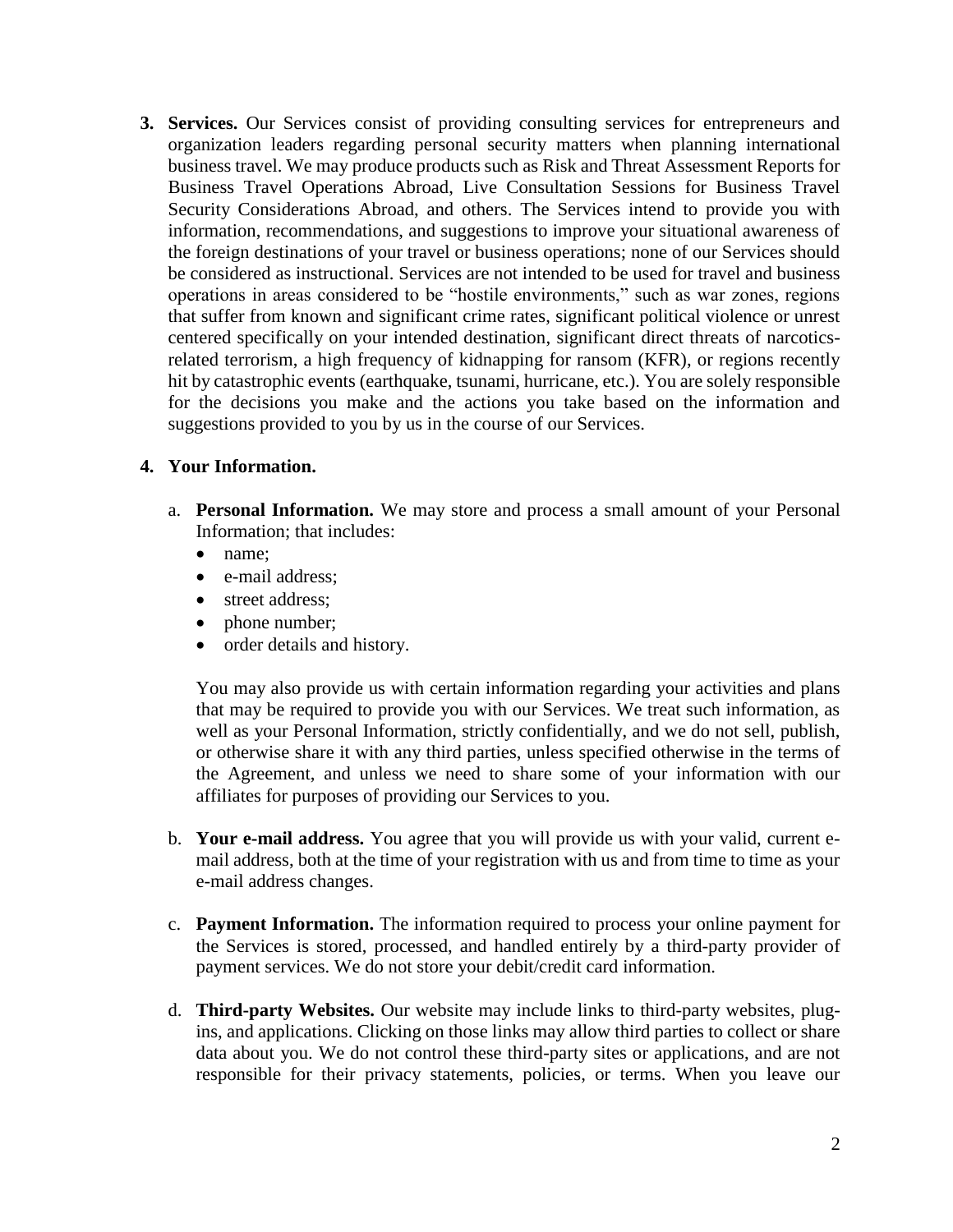**3. Services.** Our Services consist of providing consulting services for entrepreneurs and organization leaders regarding personal security matters when planning international business travel. We may produce products such as Risk and Threat Assessment Reports for Business Travel Operations Abroad, Live Consultation Sessions for Business Travel Security Considerations Abroad, and others. The Services intend to provide you with information, recommendations, and suggestions to improve your situational awareness of the foreign destinations of your travel or business operations; none of our Services should be considered as instructional. Services are not intended to be used for travel and business operations in areas considered to be "hostile environments," such as war zones, regions that suffer from known and significant crime rates, significant political violence or unrest centered specifically on your intended destination, significant direct threats of narcoticsrelated terrorism, a high frequency of kidnapping for ransom (KFR), or regions recently hit by catastrophic events (earthquake, tsunami, hurricane, etc.). You are solely responsible for the decisions you make and the actions you take based on the information and suggestions provided to you by us in the course of our Services.

#### **4. Your Information.**

- a. **Personal Information.** We may store and process a small amount of your Personal Information; that includes:
	- name;
	- e-mail address;
	- street address:
	- phone number;
	- order details and history.

You may also provide us with certain information regarding your activities and plans that may be required to provide you with our Services. We treat such information, as well as your Personal Information, strictly confidentially, and we do not sell, publish, or otherwise share it with any third parties, unless specified otherwise in the terms of the Agreement, and unless we need to share some of your information with our affiliates for purposes of providing our Services to you.

- b. **Your e-mail address.** You agree that you will provide us with your valid, current email address, both at the time of your registration with us and from time to time as your e-mail address changes.
- c. **Payment Information.** The information required to process your online payment for the Services is stored, processed, and handled entirely by a third-party provider of payment services. We do not store your debit/credit card information.
- d. **Third-party Websites.** Our website may include links to third-party websites, plugins, and applications. Clicking on those links may allow third parties to collect or share data about you. We do not control these third-party sites or applications, and are not responsible for their privacy statements, policies, or terms. When you leave our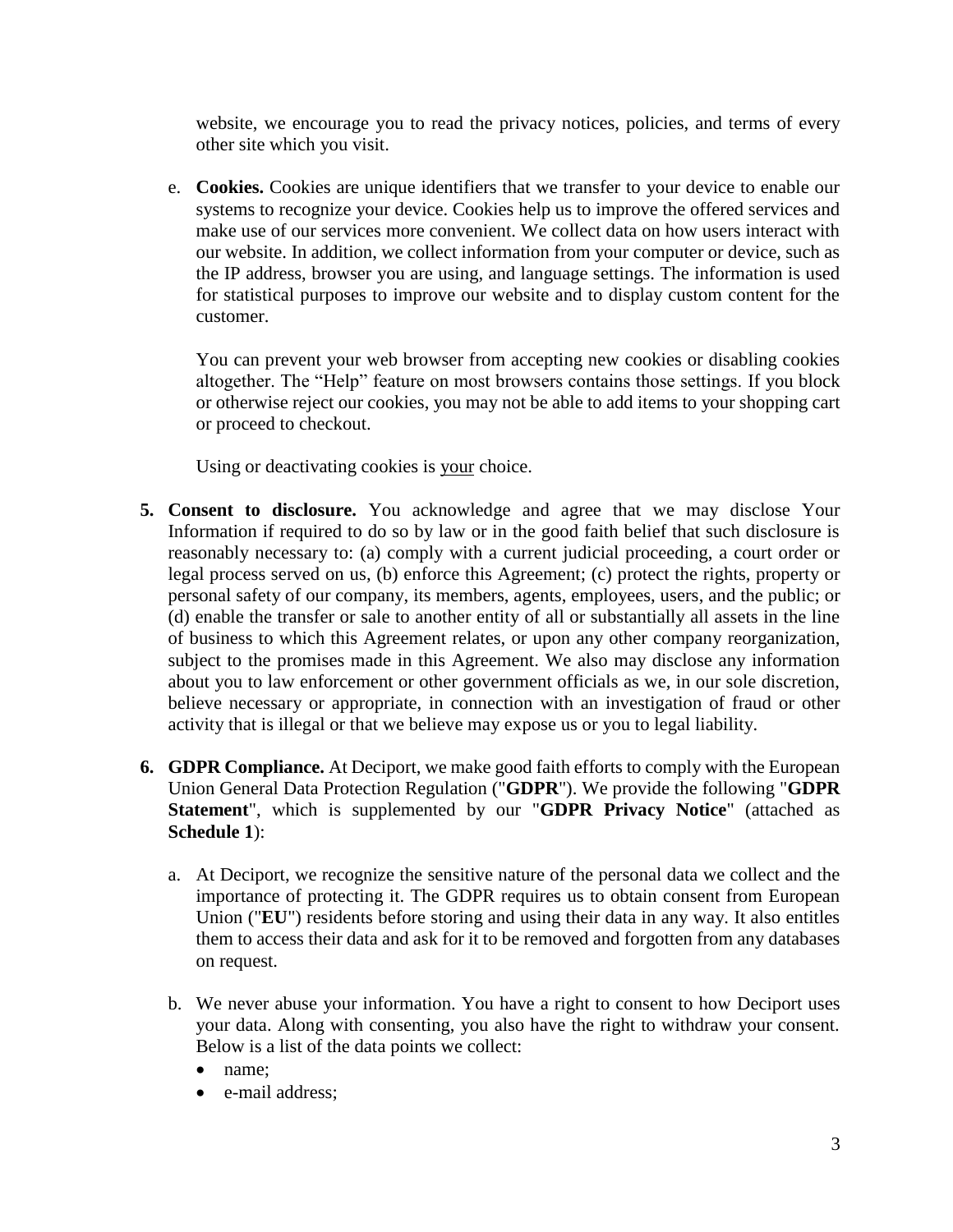website, we encourage you to read the privacy notices, policies, and terms of every other site which you visit.

e. **Cookies.** Cookies are unique identifiers that we transfer to your device to enable our systems to recognize your device. Cookies help us to improve the offered services and make use of our services more convenient. We collect data on how users interact with our website. In addition, we collect information from your computer or device, such as the IP address, browser you are using, and language settings. The information is used for statistical purposes to improve our website and to display custom content for the customer.

You can prevent your web browser from accepting new cookies or disabling cookies altogether. The "Help" feature on most browsers contains those settings. If you block or otherwise reject our cookies, you may not be able to add items to your shopping cart or proceed to checkout.

Using or deactivating cookies is your choice.

- **5. Consent to disclosure.** You acknowledge and agree that we may disclose Your Information if required to do so by law or in the good faith belief that such disclosure is reasonably necessary to: (a) comply with a current judicial proceeding, a court order or legal process served on us, (b) enforce this Agreement; (c) protect the rights, property or personal safety of our company, its members, agents, employees, users, and the public; or (d) enable the transfer or sale to another entity of all or substantially all assets in the line of business to which this Agreement relates, or upon any other company reorganization, subject to the promises made in this Agreement. We also may disclose any information about you to law enforcement or other government officials as we, in our sole discretion, believe necessary or appropriate, in connection with an investigation of fraud or other activity that is illegal or that we believe may expose us or you to legal liability.
- **6. GDPR Compliance.** At Deciport, we make good faith efforts to comply with the European Union General Data Protection Regulation ("**GDPR**"). We provide the following "**GDPR Statement**", which is supplemented by our "**GDPR Privacy Notice**" (attached as **Schedule 1**):
	- a. At Deciport, we recognize the sensitive nature of the personal data we collect and the importance of protecting it. The GDPR requires us to obtain consent from European Union ("**EU**") residents before storing and using their data in any way. It also entitles them to access their data and ask for it to be removed and forgotten from any databases on request.
	- b. We never abuse your information. You have a right to consent to how Deciport uses your data. Along with consenting, you also have the right to withdraw your consent. Below is a list of the data points we collect:
		- name;
		- e-mail address: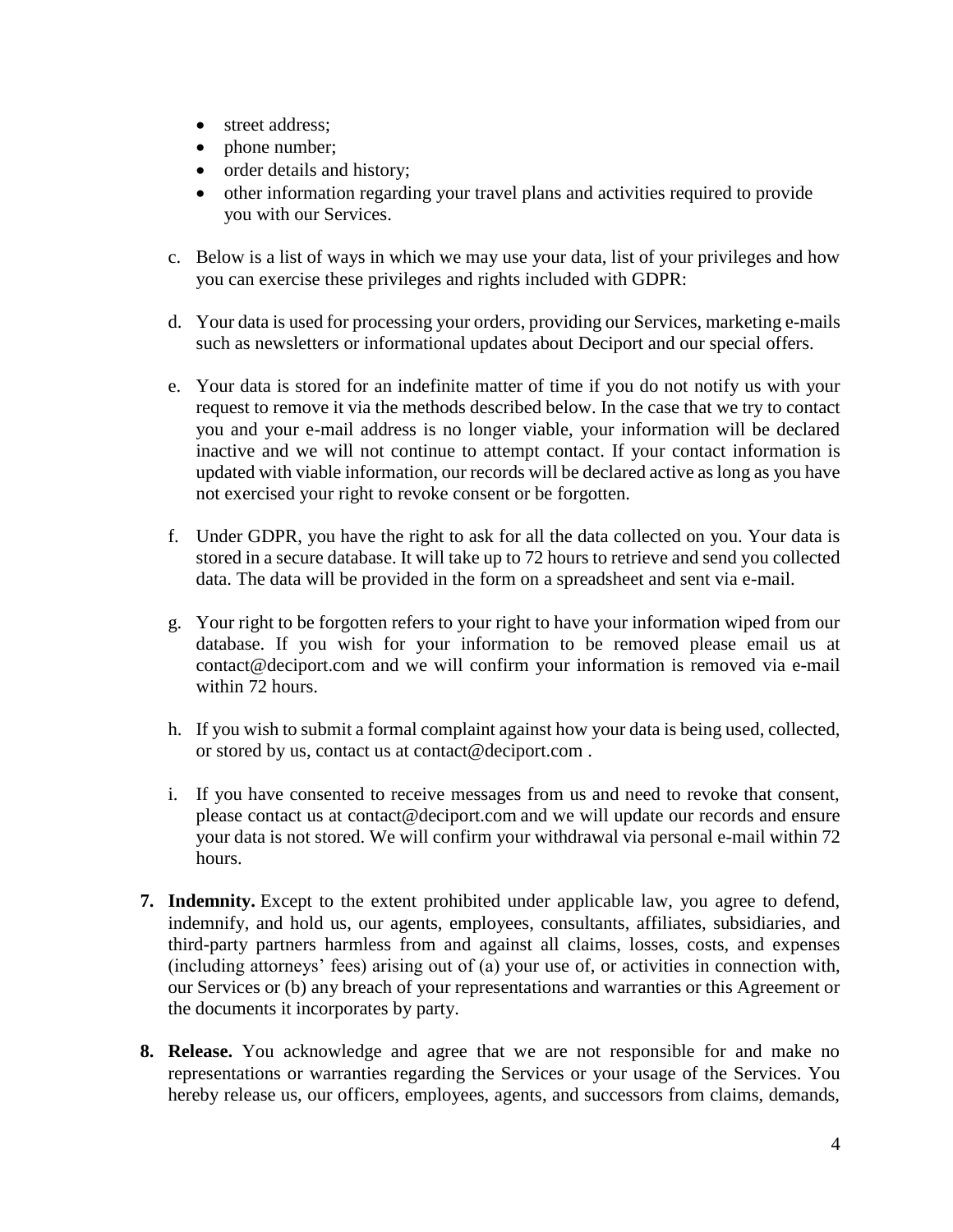- street address:
- phone number;
- order details and history;
- other information regarding your travel plans and activities required to provide you with our Services.
- c. Below is a list of ways in which we may use your data, list of your privileges and how you can exercise these privileges and rights included with GDPR:
- d. Your data is used for processing your orders, providing our Services, marketing e-mails such as newsletters or informational updates about Deciport and our special offers.
- e. Your data is stored for an indefinite matter of time if you do not notify us with your request to remove it via the methods described below. In the case that we try to contact you and your e-mail address is no longer viable, your information will be declared inactive and we will not continue to attempt contact. If your contact information is updated with viable information, our records will be declared active as long as you have not exercised your right to revoke consent or be forgotten.
- f. Under GDPR, you have the right to ask for all the data collected on you. Your data is stored in a secure database. It will take up to 72 hours to retrieve and send you collected data. The data will be provided in the form on a spreadsheet and sent via e-mail.
- g. Your right to be forgotten refers to your right to have your information wiped from our database. If you wish for your information to be removed please email us at contact@deciport.com and we will confirm your information is removed via e-mail within 72 hours.
- h. If you wish to submit a formal complaint against how your data is being used, collected, or stored by us, contact us at contact@deciport.com .
- i. If you have consented to receive messages from us and need to revoke that consent, please contact us at contact@deciport.com and we will update our records and ensure your data is not stored. We will confirm your withdrawal via personal e-mail within 72 hours.
- **7. Indemnity.** Except to the extent prohibited under applicable law, you agree to defend, indemnify, and hold us, our agents, employees, consultants, affiliates, subsidiaries, and third-party partners harmless from and against all claims, losses, costs, and expenses (including attorneys' fees) arising out of (a) your use of, or activities in connection with, our Services or (b) any breach of your representations and warranties or this Agreement or the documents it incorporates by party.
- **8. Release.** You acknowledge and agree that we are not responsible for and make no representations or warranties regarding the Services or your usage of the Services. You hereby release us, our officers, employees, agents, and successors from claims, demands,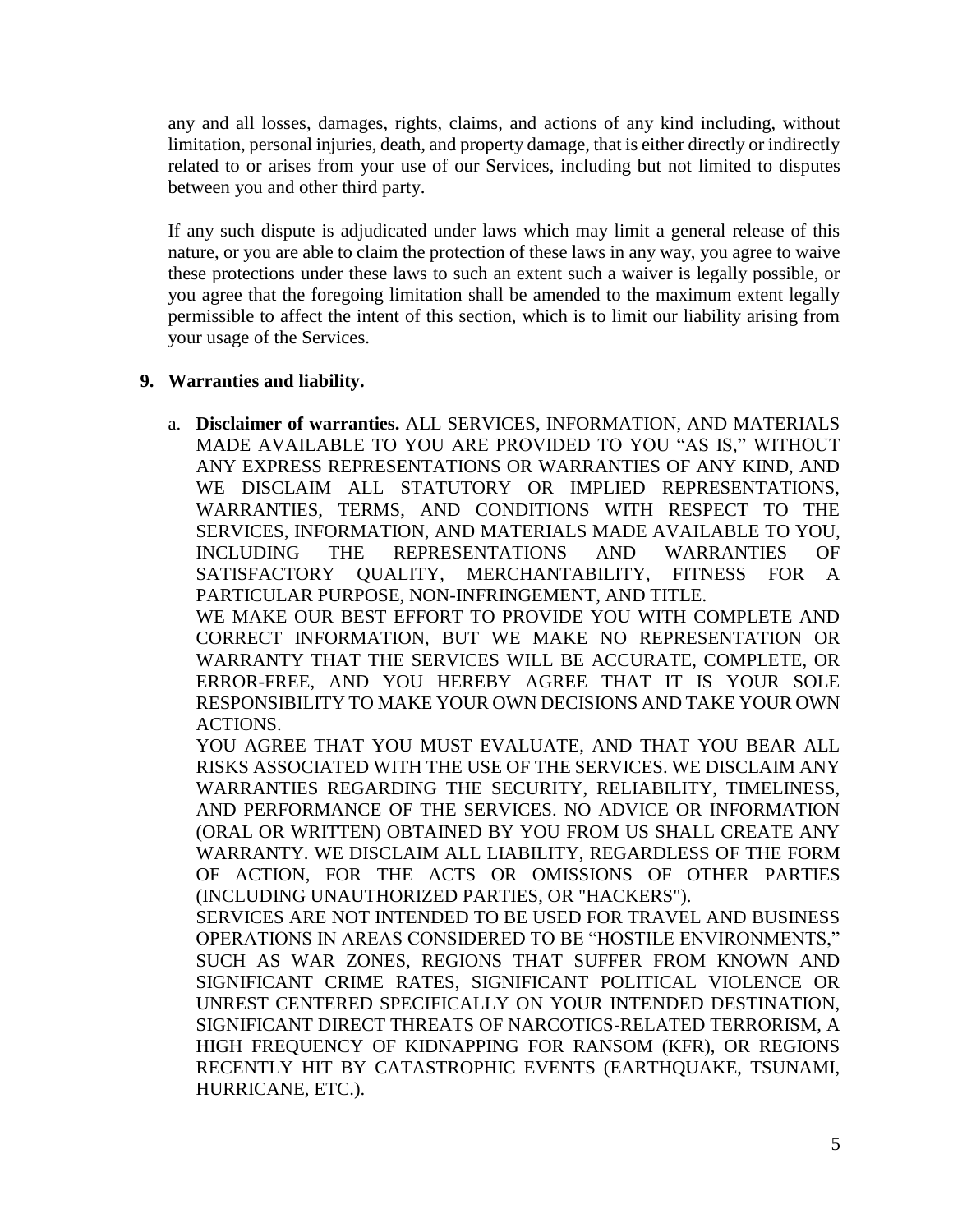any and all losses, damages, rights, claims, and actions of any kind including, without limitation, personal injuries, death, and property damage, that is either directly or indirectly related to or arises from your use of our Services, including but not limited to disputes between you and other third party.

If any such dispute is adjudicated under laws which may limit a general release of this nature, or you are able to claim the protection of these laws in any way, you agree to waive these protections under these laws to such an extent such a waiver is legally possible, or you agree that the foregoing limitation shall be amended to the maximum extent legally permissible to affect the intent of this section, which is to limit our liability arising from your usage of the Services.

## **9. Warranties and liability.**

a. **Disclaimer of warranties.** ALL SERVICES, INFORMATION, AND MATERIALS MADE AVAILABLE TO YOU ARE PROVIDED TO YOU "AS IS," WITHOUT ANY EXPRESS REPRESENTATIONS OR WARRANTIES OF ANY KIND, AND WE DISCLAIM ALL STATUTORY OR IMPLIED REPRESENTATIONS, WARRANTIES, TERMS, AND CONDITIONS WITH RESPECT TO THE SERVICES, INFORMATION, AND MATERIALS MADE AVAILABLE TO YOU, INCLUDING THE REPRESENTATIONS AND WARRANTIES OF SATISFACTORY QUALITY, MERCHANTABILITY, FITNESS FOR A PARTICULAR PURPOSE, NON-INFRINGEMENT, AND TITLE.

WE MAKE OUR BEST EFFORT TO PROVIDE YOU WITH COMPLETE AND CORRECT INFORMATION, BUT WE MAKE NO REPRESENTATION OR WARRANTY THAT THE SERVICES WILL BE ACCURATE, COMPLETE, OR ERROR-FREE, AND YOU HEREBY AGREE THAT IT IS YOUR SOLE RESPONSIBILITY TO MAKE YOUR OWN DECISIONS AND TAKE YOUR OWN ACTIONS.

YOU AGREE THAT YOU MUST EVALUATE, AND THAT YOU BEAR ALL RISKS ASSOCIATED WITH THE USE OF THE SERVICES. WE DISCLAIM ANY WARRANTIES REGARDING THE SECURITY, RELIABILITY, TIMELINESS, AND PERFORMANCE OF THE SERVICES. NO ADVICE OR INFORMATION (ORAL OR WRITTEN) OBTAINED BY YOU FROM US SHALL CREATE ANY WARRANTY. WE DISCLAIM ALL LIABILITY, REGARDLESS OF THE FORM OF ACTION, FOR THE ACTS OR OMISSIONS OF OTHER PARTIES (INCLUDING UNAUTHORIZED PARTIES, OR "HACKERS").

SERVICES ARE NOT INTENDED TO BE USED FOR TRAVEL AND BUSINESS OPERATIONS IN AREAS CONSIDERED TO BE "HOSTILE ENVIRONMENTS," SUCH AS WAR ZONES, REGIONS THAT SUFFER FROM KNOWN AND SIGNIFICANT CRIME RATES, SIGNIFICANT POLITICAL VIOLENCE OR UNREST CENTERED SPECIFICALLY ON YOUR INTENDED DESTINATION, SIGNIFICANT DIRECT THREATS OF NARCOTICS-RELATED TERRORISM, A HIGH FREQUENCY OF KIDNAPPING FOR RANSOM (KFR), OR REGIONS RECENTLY HIT BY CATASTROPHIC EVENTS (EARTHQUAKE, TSUNAMI, HURRICANE, ETC.).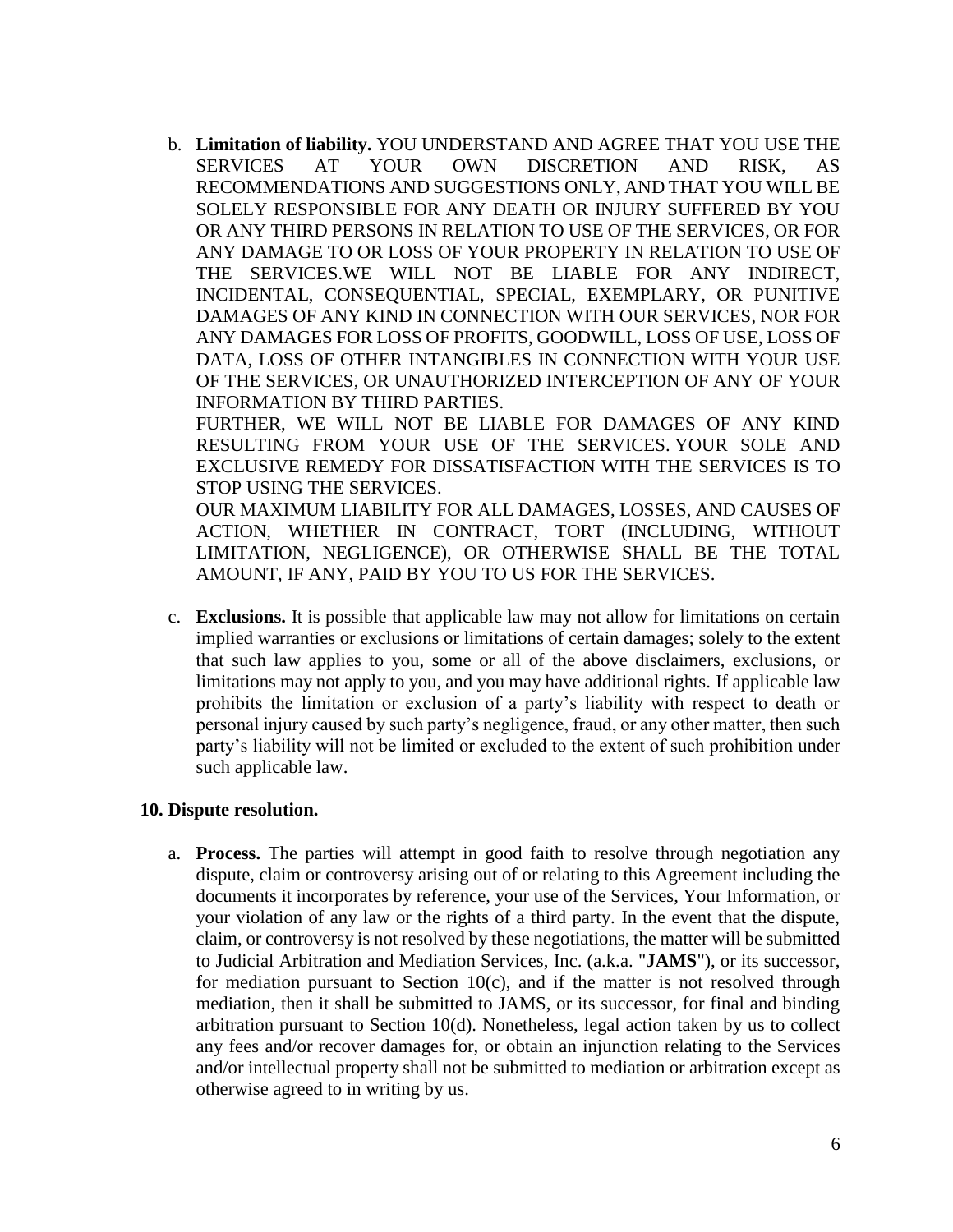b. **Limitation of liability.** YOU UNDERSTAND AND AGREE THAT YOU USE THE SERVICES AT YOUR OWN DISCRETION AND RISK, AS RECOMMENDATIONS AND SUGGESTIONS ONLY, AND THAT YOU WILL BE SOLELY RESPONSIBLE FOR ANY DEATH OR INJURY SUFFERED BY YOU OR ANY THIRD PERSONS IN RELATION TO USE OF THE SERVICES, OR FOR ANY DAMAGE TO OR LOSS OF YOUR PROPERTY IN RELATION TO USE OF THE SERVICES.WE WILL NOT BE LIABLE FOR ANY INDIRECT, INCIDENTAL, CONSEQUENTIAL, SPECIAL, EXEMPLARY, OR PUNITIVE DAMAGES OF ANY KIND IN CONNECTION WITH OUR SERVICES, NOR FOR ANY DAMAGES FOR LOSS OF PROFITS, GOODWILL, LOSS OF USE, LOSS OF DATA, LOSS OF OTHER INTANGIBLES IN CONNECTION WITH YOUR USE OF THE SERVICES, OR UNAUTHORIZED INTERCEPTION OF ANY OF YOUR INFORMATION BY THIRD PARTIES.

FURTHER, WE WILL NOT BE LIABLE FOR DAMAGES OF ANY KIND RESULTING FROM YOUR USE OF THE SERVICES. YOUR SOLE AND EXCLUSIVE REMEDY FOR DISSATISFACTION WITH THE SERVICES IS TO STOP USING THE SERVICES.

OUR MAXIMUM LIABILITY FOR ALL DAMAGES, LOSSES, AND CAUSES OF ACTION, WHETHER IN CONTRACT, TORT (INCLUDING, WITHOUT LIMITATION, NEGLIGENCE), OR OTHERWISE SHALL BE THE TOTAL AMOUNT, IF ANY, PAID BY YOU TO US FOR THE SERVICES.

c. **Exclusions.** It is possible that applicable law may not allow for limitations on certain implied warranties or exclusions or limitations of certain damages; solely to the extent that such law applies to you, some or all of the above disclaimers, exclusions, or limitations may not apply to you, and you may have additional rights. If applicable law prohibits the limitation or exclusion of a party's liability with respect to death or personal injury caused by such party's negligence, fraud, or any other matter, then such party's liability will not be limited or excluded to the extent of such prohibition under such applicable law.

#### **10. Dispute resolution.**

a. **Process.** The parties will attempt in good faith to resolve through negotiation any dispute, claim or controversy arising out of or relating to this Agreement including the documents it incorporates by reference, your use of the Services, Your Information, or your violation of any law or the rights of a third party. In the event that the dispute, claim, or controversy is not resolved by these negotiations, the matter will be submitted to Judicial Arbitration and Mediation Services, Inc. (a.k.a. "**JAMS**"), or its successor, for mediation pursuant to Section  $10(c)$ , and if the matter is not resolved through mediation, then it shall be submitted to JAMS, or its successor, for final and binding arbitration pursuant to Section 10(d). Nonetheless, legal action taken by us to collect any fees and/or recover damages for, or obtain an injunction relating to the Services and/or intellectual property shall not be submitted to mediation or arbitration except as otherwise agreed to in writing by us.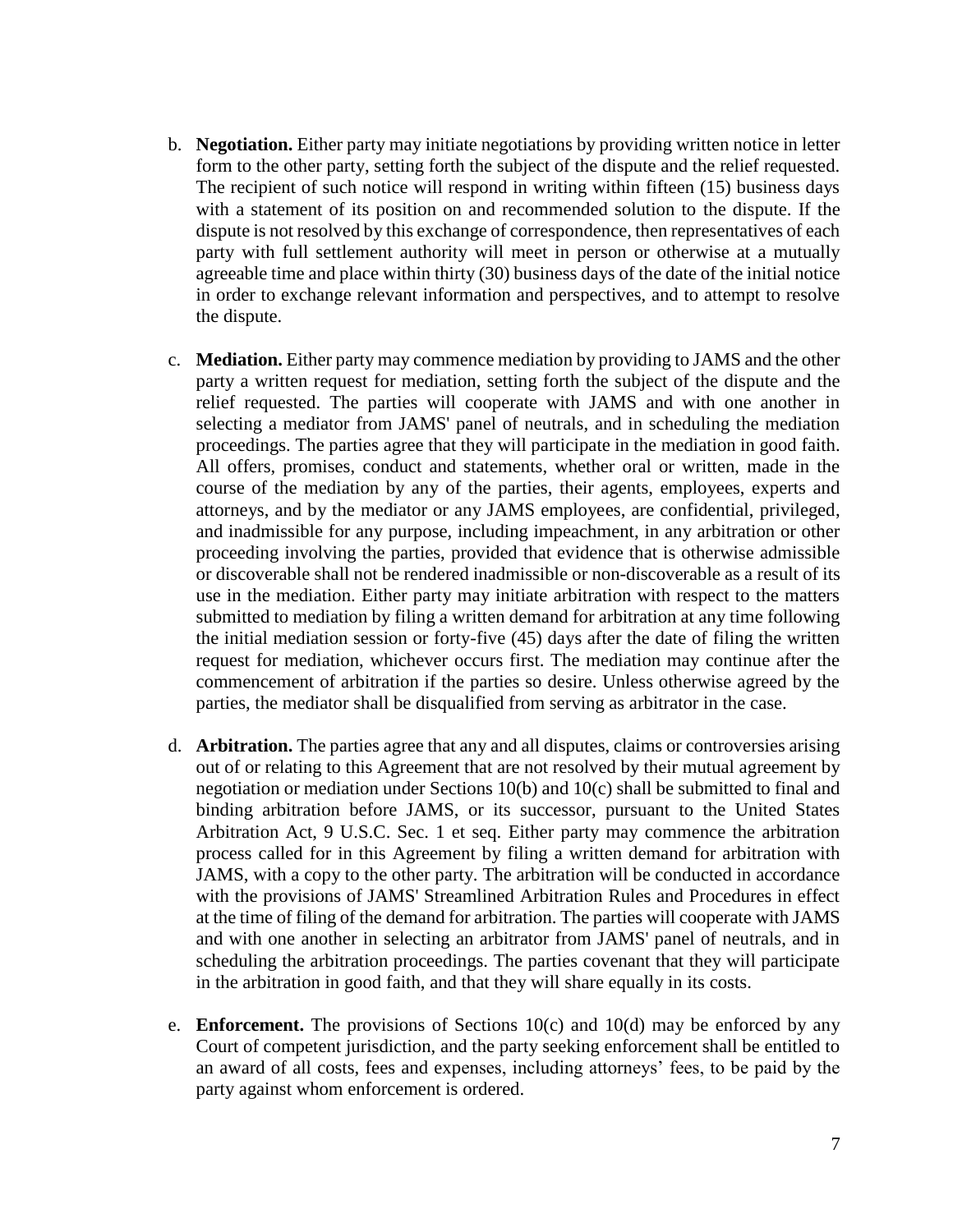- b. **Negotiation.** Either party may initiate negotiations by providing written notice in letter form to the other party, setting forth the subject of the dispute and the relief requested. The recipient of such notice will respond in writing within fifteen (15) business days with a statement of its position on and recommended solution to the dispute. If the dispute is not resolved by this exchange of correspondence, then representatives of each party with full settlement authority will meet in person or otherwise at a mutually agreeable time and place within thirty (30) business days of the date of the initial notice in order to exchange relevant information and perspectives, and to attempt to resolve the dispute.
- c. **Mediation.** Either party may commence mediation by providing to JAMS and the other party a written request for mediation, setting forth the subject of the dispute and the relief requested. The parties will cooperate with JAMS and with one another in selecting a mediator from JAMS' panel of neutrals, and in scheduling the mediation proceedings. The parties agree that they will participate in the mediation in good faith. All offers, promises, conduct and statements, whether oral or written, made in the course of the mediation by any of the parties, their agents, employees, experts and attorneys, and by the mediator or any JAMS employees, are confidential, privileged, and inadmissible for any purpose, including impeachment, in any arbitration or other proceeding involving the parties, provided that evidence that is otherwise admissible or discoverable shall not be rendered inadmissible or non-discoverable as a result of its use in the mediation. Either party may initiate arbitration with respect to the matters submitted to mediation by filing a written demand for arbitration at any time following the initial mediation session or forty-five (45) days after the date of filing the written request for mediation, whichever occurs first. The mediation may continue after the commencement of arbitration if the parties so desire. Unless otherwise agreed by the parties, the mediator shall be disqualified from serving as arbitrator in the case.
- d. **Arbitration.** The parties agree that any and all disputes, claims or controversies arising out of or relating to this Agreement that are not resolved by their mutual agreement by negotiation or mediation under Sections 10(b) and 10(c) shall be submitted to final and binding arbitration before JAMS, or its successor, pursuant to the United States Arbitration Act, 9 U.S.C. Sec. 1 et seq. Either party may commence the arbitration process called for in this Agreement by filing a written demand for arbitration with JAMS, with a copy to the other party. The arbitration will be conducted in accordance with the provisions of JAMS' Streamlined Arbitration Rules and Procedures in effect at the time of filing of the demand for arbitration. The parties will cooperate with JAMS and with one another in selecting an arbitrator from JAMS' panel of neutrals, and in scheduling the arbitration proceedings. The parties covenant that they will participate in the arbitration in good faith, and that they will share equally in its costs.
- e. **Enforcement.** The provisions of Sections  $10(c)$  and  $10(d)$  may be enforced by any Court of competent jurisdiction, and the party seeking enforcement shall be entitled to an award of all costs, fees and expenses, including attorneys' fees, to be paid by the party against whom enforcement is ordered.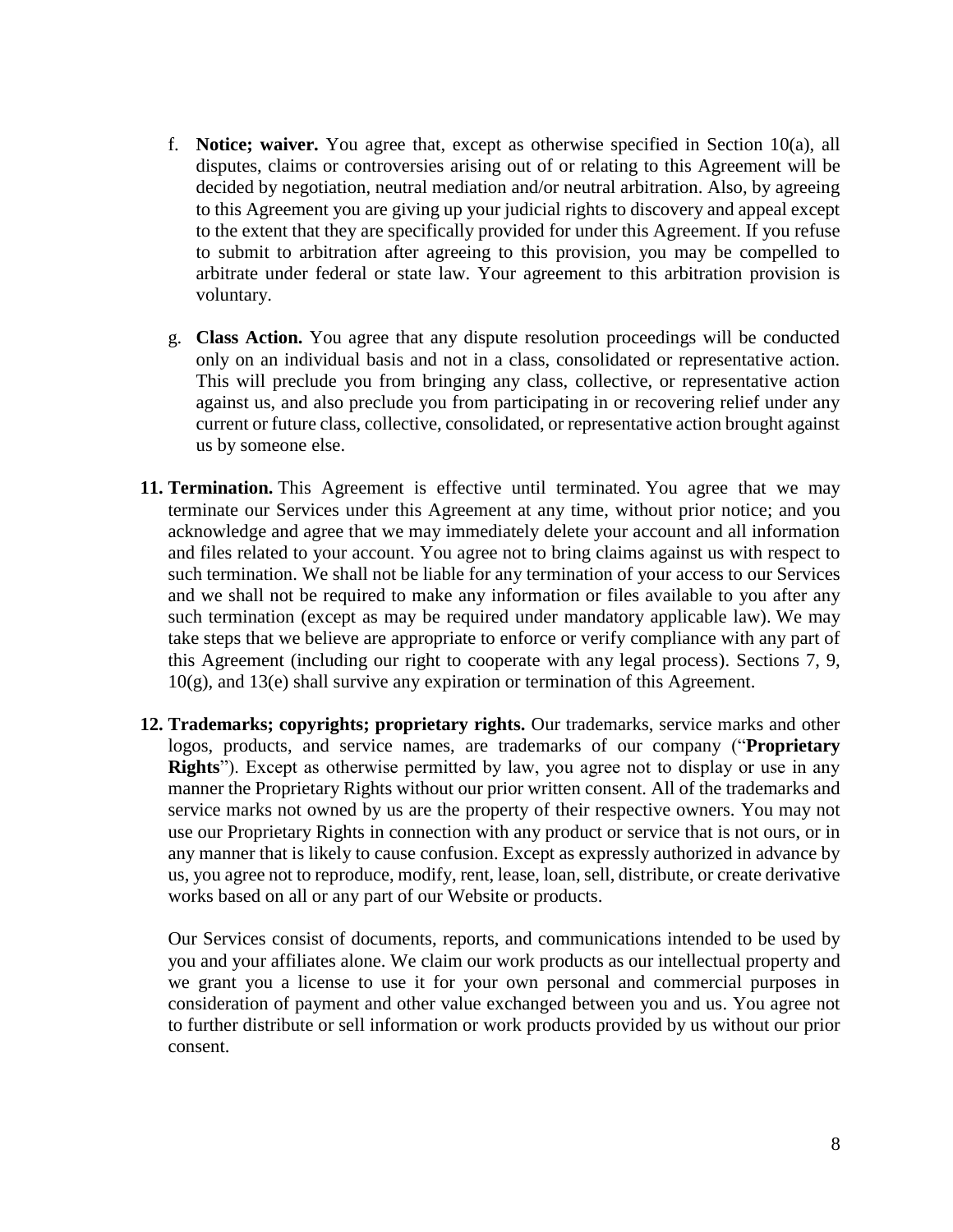- f. **Notice; waiver.** You agree that, except as otherwise specified in Section 10(a), all disputes, claims or controversies arising out of or relating to this Agreement will be decided by negotiation, neutral mediation and/or neutral arbitration. Also, by agreeing to this Agreement you are giving up your judicial rights to discovery and appeal except to the extent that they are specifically provided for under this Agreement. If you refuse to submit to arbitration after agreeing to this provision, you may be compelled to arbitrate under federal or state law. Your agreement to this arbitration provision is voluntary.
- g. **Class Action.** You agree that any dispute resolution proceedings will be conducted only on an individual basis and not in a class, consolidated or representative action. This will preclude you from bringing any class, collective, or representative action against us, and also preclude you from participating in or recovering relief under any current or future class, collective, consolidated, or representative action brought against us by someone else.
- **11. Termination.** This Agreement is effective until terminated. You agree that we may terminate our Services under this Agreement at any time, without prior notice; and you acknowledge and agree that we may immediately delete your account and all information and files related to your account. You agree not to bring claims against us with respect to such termination. We shall not be liable for any termination of your access to our Services and we shall not be required to make any information or files available to you after any such termination (except as may be required under mandatory applicable law). We may take steps that we believe are appropriate to enforce or verify compliance with any part of this Agreement (including our right to cooperate with any legal process). Sections 7, 9, 10(g), and 13(e) shall survive any expiration or termination of this Agreement.
- **12. Trademarks; copyrights; proprietary rights.** Our trademarks, service marks and other logos, products, and service names, are trademarks of our company ("**Proprietary Rights**"). Except as otherwise permitted by law, you agree not to display or use in any manner the Proprietary Rights without our prior written consent. All of the trademarks and service marks not owned by us are the property of their respective owners. You may not use our Proprietary Rights in connection with any product or service that is not ours, or in any manner that is likely to cause confusion. Except as expressly authorized in advance by us, you agree not to reproduce, modify, rent, lease, loan, sell, distribute, or create derivative works based on all or any part of our Website or products.

Our Services consist of documents, reports, and communications intended to be used by you and your affiliates alone. We claim our work products as our intellectual property and we grant you a license to use it for your own personal and commercial purposes in consideration of payment and other value exchanged between you and us. You agree not to further distribute or sell information or work products provided by us without our prior consent.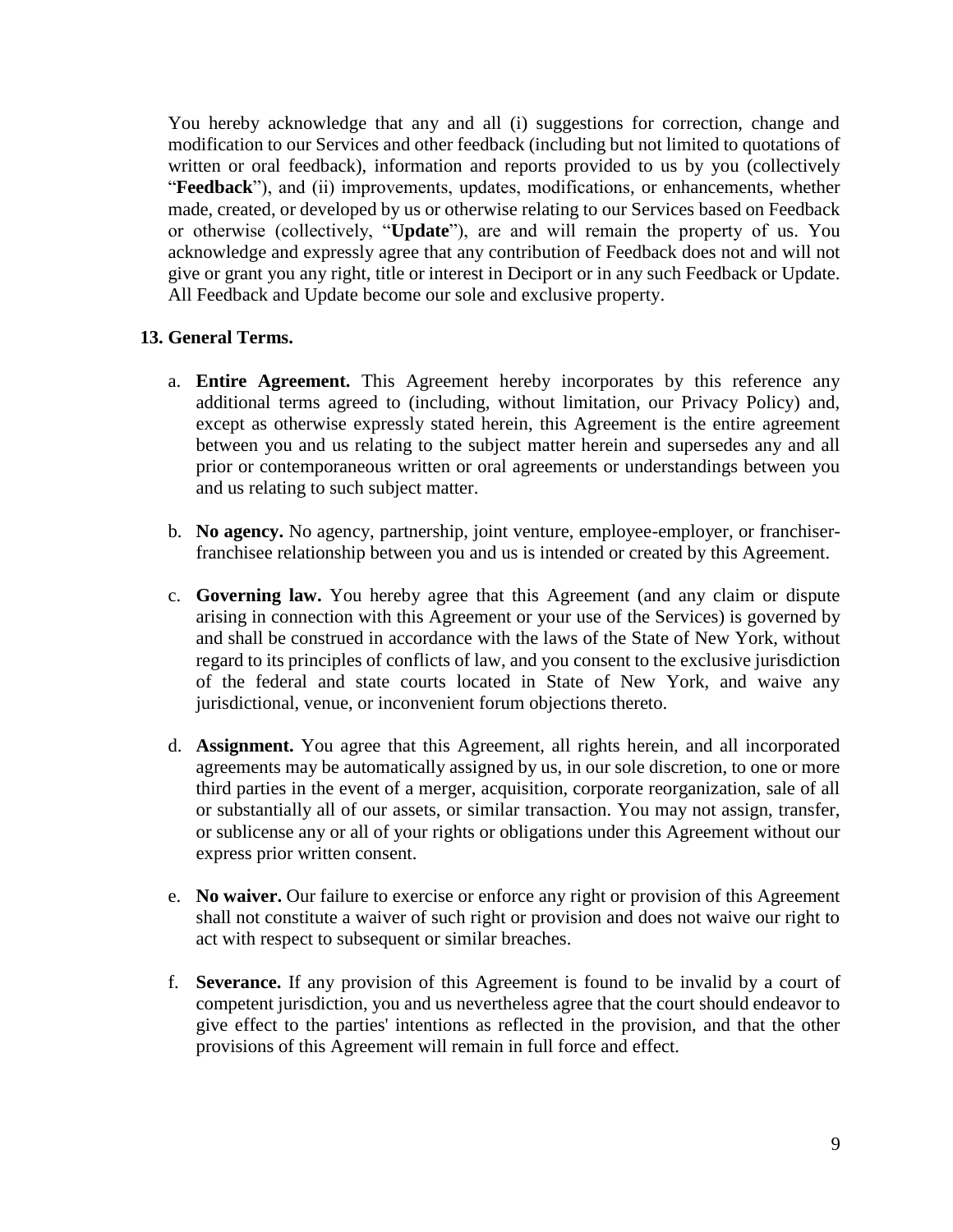You hereby acknowledge that any and all (i) suggestions for correction, change and modification to our Services and other feedback (including but not limited to quotations of written or oral feedback), information and reports provided to us by you (collectively "**Feedback**"), and (ii) improvements, updates, modifications, or enhancements, whether made, created, or developed by us or otherwise relating to our Services based on Feedback or otherwise (collectively, "**Update**"), are and will remain the property of us. You acknowledge and expressly agree that any contribution of Feedback does not and will not give or grant you any right, title or interest in Deciport or in any such Feedback or Update. All Feedback and Update become our sole and exclusive property.

#### **13. General Terms.**

- a. **Entire Agreement.** This Agreement hereby incorporates by this reference any additional terms agreed to (including, without limitation, our Privacy Policy) and, except as otherwise expressly stated herein, this Agreement is the entire agreement between you and us relating to the subject matter herein and supersedes any and all prior or contemporaneous written or oral agreements or understandings between you and us relating to such subject matter.
- b. **No agency.** No agency, partnership, joint venture, employee-employer, or franchiserfranchisee relationship between you and us is intended or created by this Agreement.
- c. **Governing law.** You hereby agree that this Agreement (and any claim or dispute arising in connection with this Agreement or your use of the Services) is governed by and shall be construed in accordance with the laws of the State of New York, without regard to its principles of conflicts of law, and you consent to the exclusive jurisdiction of the federal and state courts located in State of New York, and waive any jurisdictional, venue, or inconvenient forum objections thereto.
- d. **Assignment.** You agree that this Agreement, all rights herein, and all incorporated agreements may be automatically assigned by us, in our sole discretion, to one or more third parties in the event of a merger, acquisition, corporate reorganization, sale of all or substantially all of our assets, or similar transaction. You may not assign, transfer, or sublicense any or all of your rights or obligations under this Agreement without our express prior written consent.
- e. **No waiver.** Our failure to exercise or enforce any right or provision of this Agreement shall not constitute a waiver of such right or provision and does not waive our right to act with respect to subsequent or similar breaches.
- f. **Severance.** If any provision of this Agreement is found to be invalid by a court of competent jurisdiction, you and us nevertheless agree that the court should endeavor to give effect to the parties' intentions as reflected in the provision, and that the other provisions of this Agreement will remain in full force and effect.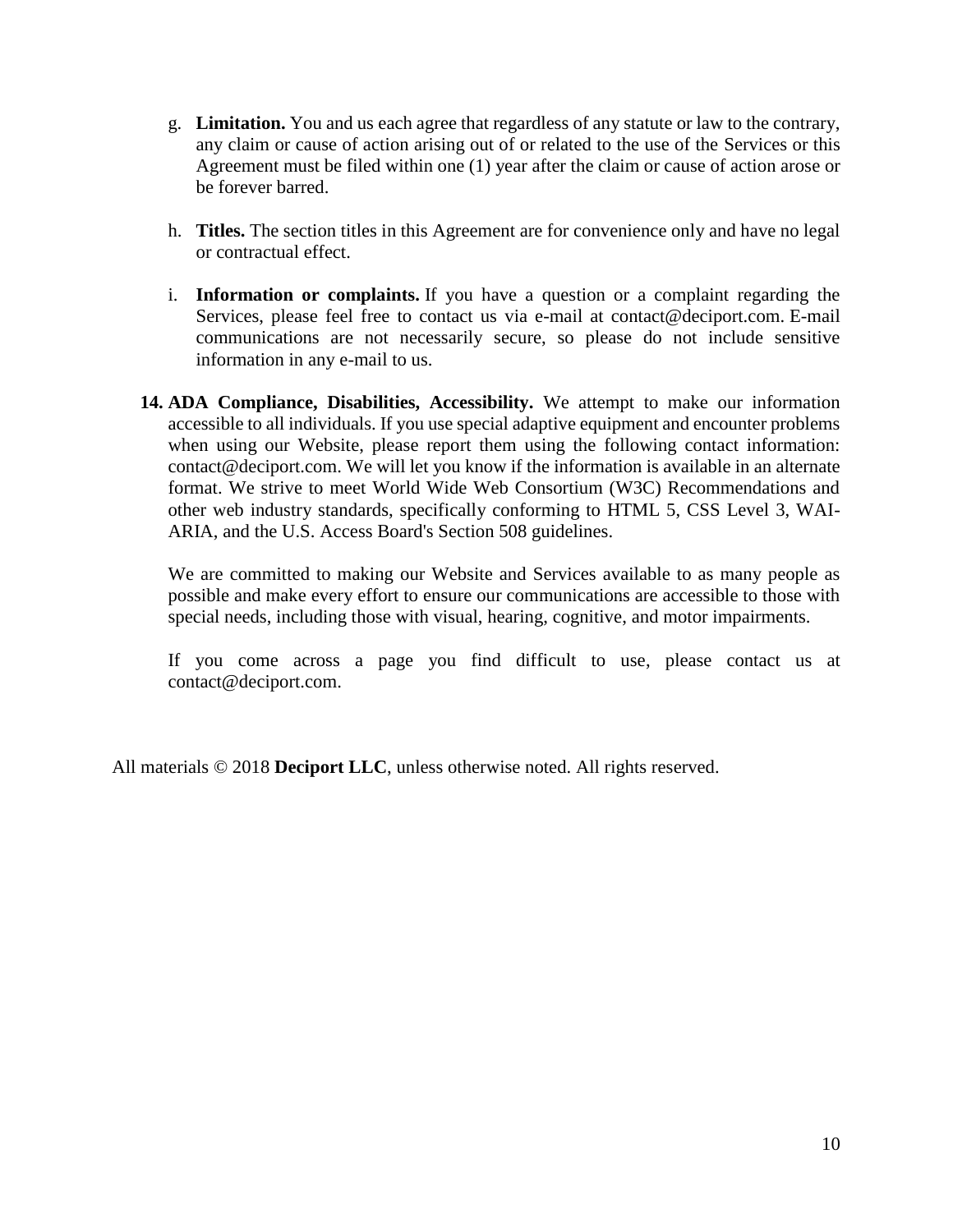- g. **Limitation.** You and us each agree that regardless of any statute or law to the contrary, any claim or cause of action arising out of or related to the use of the Services or this Agreement must be filed within one (1) year after the claim or cause of action arose or be forever barred.
- h. **Titles.** The section titles in this Agreement are for convenience only and have no legal or contractual effect.
- i. **Information or complaints.** If you have a question or a complaint regarding the Services, please feel free to contact us via e-mail at contact@deciport.com. E-mail communications are not necessarily secure, so please do not include sensitive information in any e-mail to us.
- **14. ADA Compliance, Disabilities, Accessibility.** We attempt to make our information accessible to all individuals. If you use special adaptive equipment and encounter problems when using our Website, please report them using the following contact information: contact@deciport.com. We will let you know if the information is available in an alternate format. We strive to meet World Wide Web Consortium (W3C) Recommendations and other web industry standards, specifically conforming to HTML 5, CSS Level 3, WAI-ARIA, and the U.S. Access Board's Section 508 guidelines.

We are committed to making our Website and Services available to as many people as possible and make every effort to ensure our communications are accessible to those with special needs, including those with visual, hearing, cognitive, and motor impairments.

If you come across a page you find difficult to use, please contact us at contact@deciport.com.

All materials © 2018 **Deciport LLC**, unless otherwise noted. All rights reserved.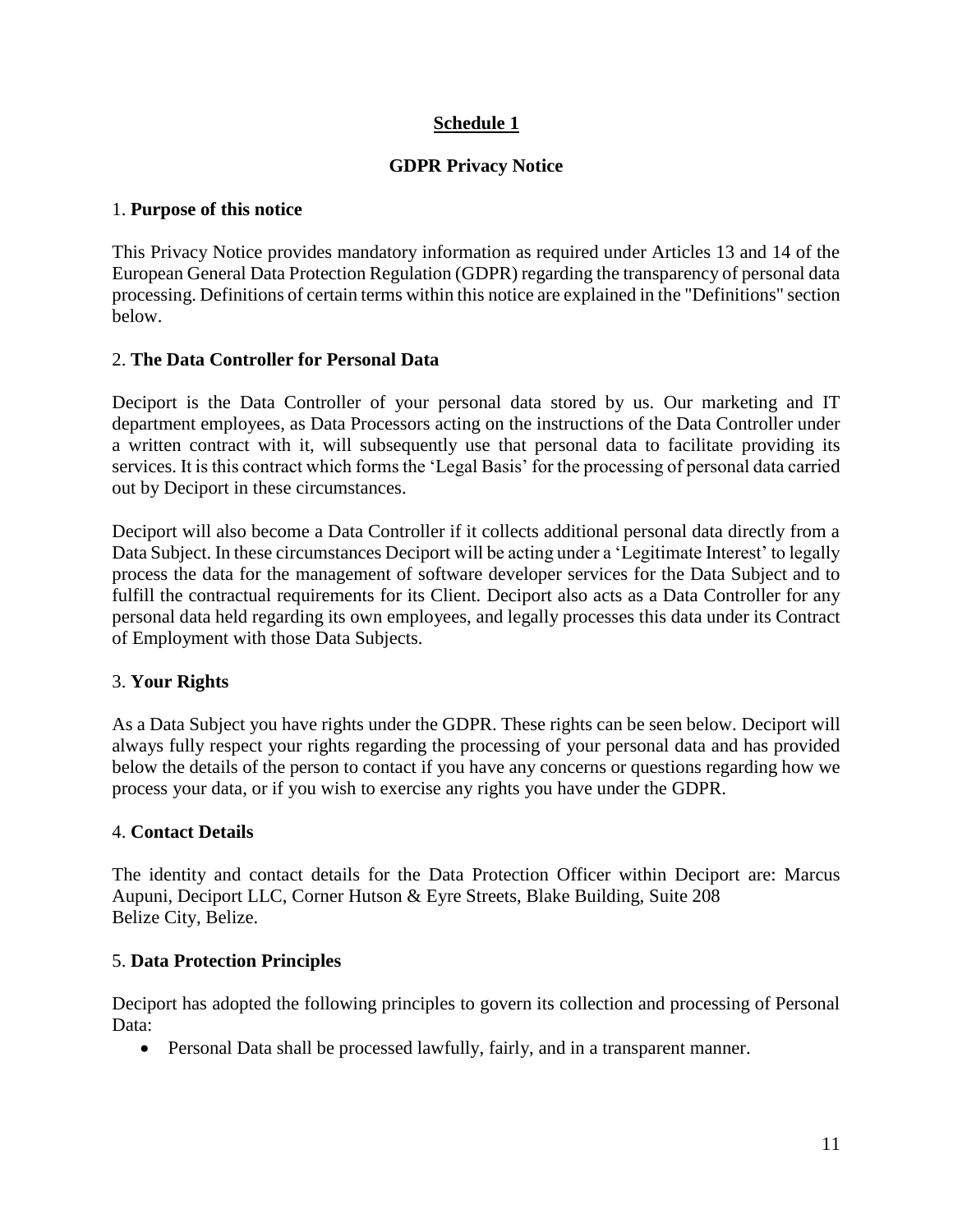# **Schedule 1**

## **GDPR Privacy Notice**

#### 1. **Purpose of this notice**

This Privacy Notice provides mandatory information as required under Articles 13 and 14 of the European General Data Protection Regulation (GDPR) regarding the transparency of personal data processing. Definitions of certain terms within this notice are explained in the "Definitions" section below.

## 2. **The Data Controller for Personal Data**

Deciport is the Data Controller of your personal data stored by us. Our marketing and IT department employees, as Data Processors acting on the instructions of the Data Controller under a written contract with it, will subsequently use that personal data to facilitate providing its services. It is this contract which forms the 'Legal Basis' for the processing of personal data carried out by Deciport in these circumstances.

Deciport will also become a Data Controller if it collects additional personal data directly from a Data Subject. In these circumstances Deciport will be acting under a 'Legitimate Interest' to legally process the data for the management of software developer services for the Data Subject and to fulfill the contractual requirements for its Client. Deciport also acts as a Data Controller for any personal data held regarding its own employees, and legally processes this data under its Contract of Employment with those Data Subjects.

## 3. **Your Rights**

As a Data Subject you have rights under the GDPR. These rights can be seen below. Deciport will always fully respect your rights regarding the processing of your personal data and has provided below the details of the person to contact if you have any concerns or questions regarding how we process your data, or if you wish to exercise any rights you have under the GDPR.

#### 4. **Contact Details**

The identity and contact details for the Data Protection Officer within Deciport are: Marcus Aupuni, Deciport LLC, Corner Hutson & Eyre Streets, Blake Building, Suite 208 Belize City, Belize.

#### 5. **Data Protection Principles**

Deciport has adopted the following principles to govern its collection and processing of Personal Data:

• Personal Data shall be processed lawfully, fairly, and in a transparent manner.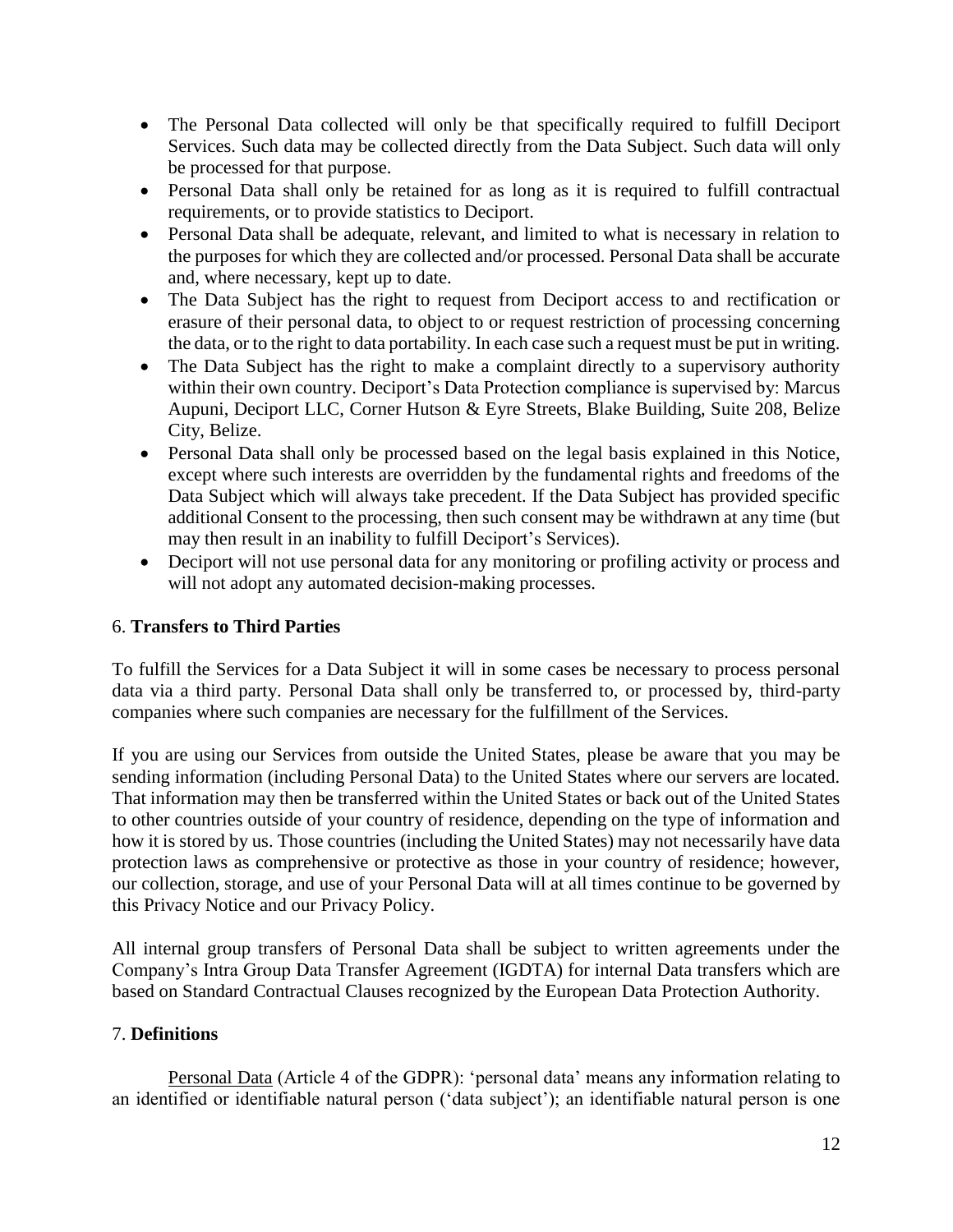- The Personal Data collected will only be that specifically required to fulfill Deciport Services. Such data may be collected directly from the Data Subject. Such data will only be processed for that purpose.
- Personal Data shall only be retained for as long as it is required to fulfill contractual requirements, or to provide statistics to Deciport.
- Personal Data shall be adequate, relevant, and limited to what is necessary in relation to the purposes for which they are collected and/or processed. Personal Data shall be accurate and, where necessary, kept up to date.
- The Data Subject has the right to request from Deciport access to and rectification or erasure of their personal data, to object to or request restriction of processing concerning the data, or to the right to data portability. In each case such a request must be put in writing.
- The Data Subject has the right to make a complaint directly to a supervisory authority within their own country. Deciport's Data Protection compliance is supervised by: Marcus Aupuni, Deciport LLC, Corner Hutson & Eyre Streets, Blake Building, Suite 208, Belize City, Belize.
- Personal Data shall only be processed based on the legal basis explained in this Notice, except where such interests are overridden by the fundamental rights and freedoms of the Data Subject which will always take precedent. If the Data Subject has provided specific additional Consent to the processing, then such consent may be withdrawn at any time (but may then result in an inability to fulfill Deciport's Services).
- Deciport will not use personal data for any monitoring or profiling activity or process and will not adopt any automated decision-making processes.

# 6. **Transfers to Third Parties**

To fulfill the Services for a Data Subject it will in some cases be necessary to process personal data via a third party. Personal Data shall only be transferred to, or processed by, third-party companies where such companies are necessary for the fulfillment of the Services.

If you are using our Services from outside the United States, please be aware that you may be sending information (including Personal Data) to the United States where our servers are located. That information may then be transferred within the United States or back out of the United States to other countries outside of your country of residence, depending on the type of information and how it is stored by us. Those countries (including the United States) may not necessarily have data protection laws as comprehensive or protective as those in your country of residence; however, our collection, storage, and use of your Personal Data will at all times continue to be governed by this Privacy Notice and our Privacy Policy.

All internal group transfers of Personal Data shall be subject to written agreements under the Company's Intra Group Data Transfer Agreement (IGDTA) for internal Data transfers which are based on Standard Contractual Clauses recognized by the European Data Protection Authority.

## 7. **Definitions**

Personal Data (Article 4 of the GDPR): 'personal data' means any information relating to an identified or identifiable natural person ('data subject'); an identifiable natural person is one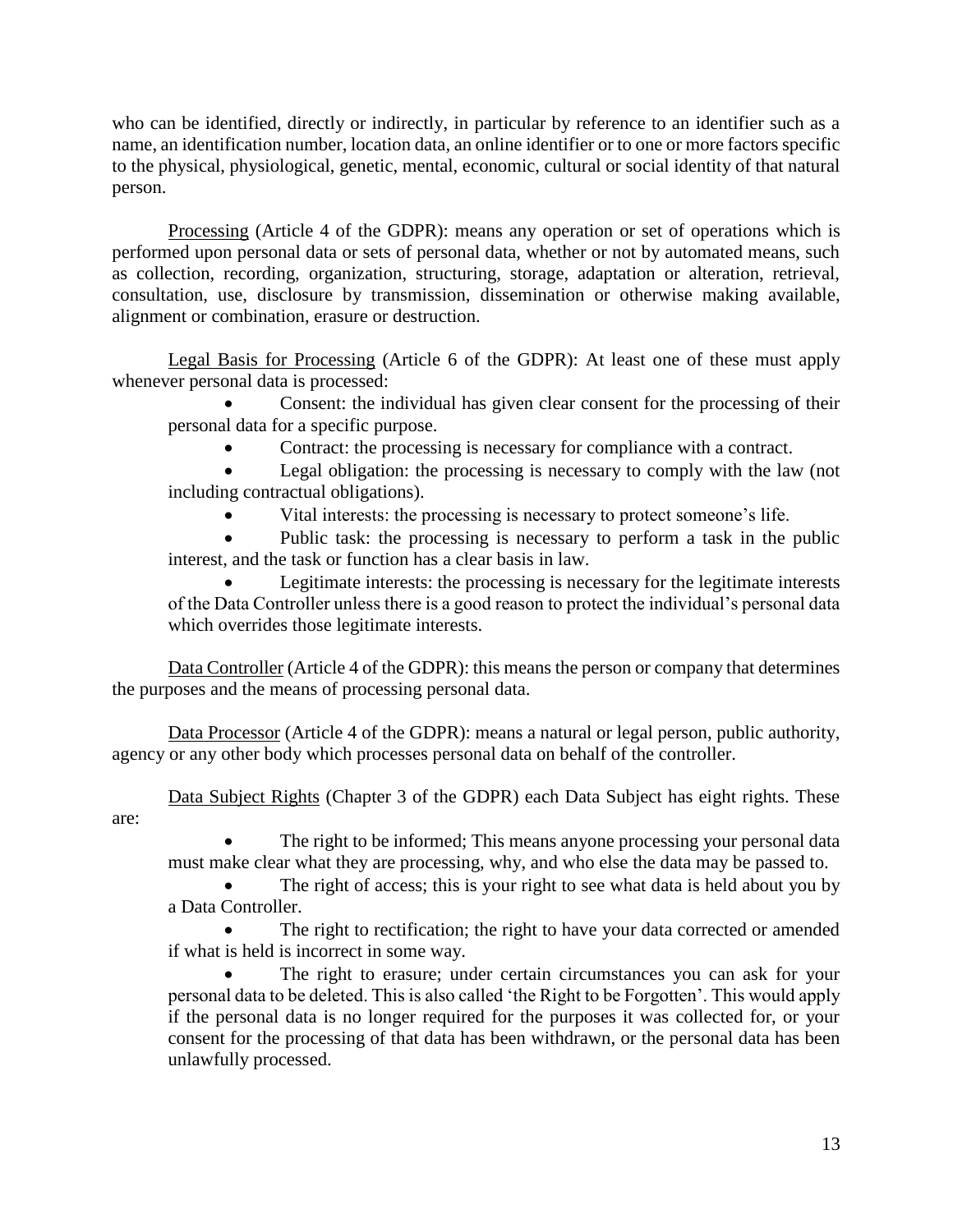who can be identified, directly or indirectly, in particular by reference to an identifier such as a name, an identification number, location data, an online identifier or to one or more factors specific to the physical, physiological, genetic, mental, economic, cultural or social identity of that natural person.

Processing (Article 4 of the GDPR): means any operation or set of operations which is performed upon personal data or sets of personal data, whether or not by automated means, such as collection, recording, organization, structuring, storage, adaptation or alteration, retrieval, consultation, use, disclosure by transmission, dissemination or otherwise making available, alignment or combination, erasure or destruction.

Legal Basis for Processing (Article 6 of the GDPR): At least one of these must apply whenever personal data is processed:

• Consent: the individual has given clear consent for the processing of their personal data for a specific purpose.

• Contract: the processing is necessary for compliance with a contract.

Legal obligation: the processing is necessary to comply with the law (not including contractual obligations).

• Vital interests: the processing is necessary to protect someone's life.

Public task: the processing is necessary to perform a task in the public interest, and the task or function has a clear basis in law.

Legitimate interests: the processing is necessary for the legitimate interests of the Data Controller unless there is a good reason to protect the individual's personal data which overrides those legitimate interests.

Data Controller (Article 4 of the GDPR): this means the person or company that determines the purposes and the means of processing personal data.

Data Processor (Article 4 of the GDPR): means a natural or legal person, public authority, agency or any other body which processes personal data on behalf of the controller.

Data Subject Rights (Chapter 3 of the GDPR) each Data Subject has eight rights. These are:

The right to be informed; This means anyone processing your personal data must make clear what they are processing, why, and who else the data may be passed to.

The right of access; this is your right to see what data is held about you by a Data Controller.

The right to rectification; the right to have your data corrected or amended if what is held is incorrect in some way.

The right to erasure; under certain circumstances you can ask for your personal data to be deleted. This is also called 'the Right to be Forgotten'. This would apply if the personal data is no longer required for the purposes it was collected for, or your consent for the processing of that data has been withdrawn, or the personal data has been unlawfully processed.